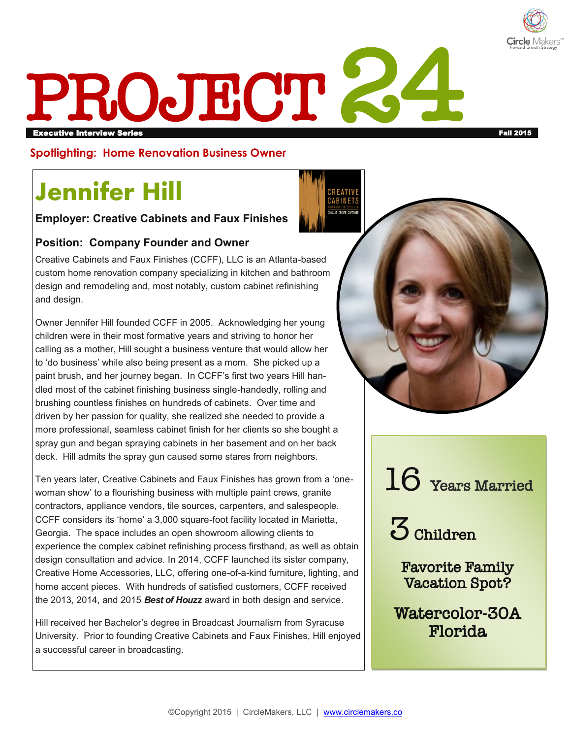

# **PROJECT 24**

#### **Spotlighting: Home Renovation Business Owner**

## **Jennifer Hill**

#### **Employer: Creative Cabinets and Faux Finishes**

#### **Position: Company Founder and Owner**

Creative Cabinets and Faux Finishes (CCFF), LLC is an Atlanta-based custom home renovation company specializing in kitchen and bathroom design and remodeling and, most notably, custom cabinet refinishing and design.

Owner Jennifer Hill founded CCFF in 2005. Acknowledging her young children were in their most formative years and striving to honor her calling as a mother, Hill sought a business venture that would allow her to 'do business' while also being present as a mom. She picked up a paint brush, and her journey began. In CCFF's first two years Hill handled most of the cabinet finishing business single-handedly, rolling and brushing countless finishes on hundreds of cabinets. Over time and driven by her passion for quality, she realized she needed to provide a more professional, seamless cabinet finish for her clients so she bought a spray gun and began spraying cabinets in her basement and on her back deck. Hill admits the spray gun caused some stares from neighbors.

Ten years later, Creative Cabinets and Faux Finishes has grown from a 'onewoman show' to a flourishing business with multiple paint crews, granite contractors, appliance vendors, tile sources, carpenters, and salespeople. CCFF considers its 'home' a 3,000 square-foot facility located in Marietta, Georgia. The space includes an open showroom allowing clients to experience the complex cabinet refinishing process firsthand, as well as obtain design consultation and advice. In 2014, CCFF launched its sister company, Creative Home Accessories, LLC, offering one-of-a-kind furniture, lighting, and home accent pieces. With hundreds of satisfied customers, CCFF received the 2013, 2014, and 2015 *Best of Houzz* award in both design and service.

Hill received her Bachelor's degree in Broadcast Journalism from Syracuse University. Prior to founding Creative Cabinets and Faux Finishes, Hill enjoyed a successful career in broadcasting.





3 Children

Favorite Family Vacation Spot?

Watercolor-30A Florida

©Copyright 2015 | CircleMakers, LLC | [www.circlemakers.co](http://www.circlemakers.co)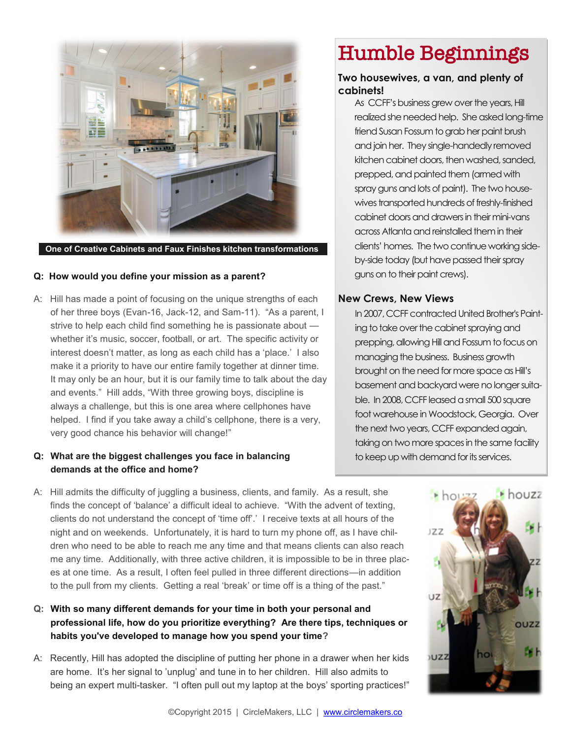

#### **One of Creative Cabinets and Faux Finishes kitchen transformations**

#### **Q: How would you define your mission as a parent?**

A: Hill has made a point of focusing on the unique strengths of each of her three boys (Evan-16, Jack-12, and Sam-11). "As a parent, I strive to help each child find something he is passionate about whether it's music, soccer, football, or art. The specific activity or interest doesn't matter, as long as each child has a 'place.' I also make it a priority to have our entire family together at dinner time. It may only be an hour, but it is our family time to talk about the day and events." Hill adds, "With three growing boys, discipline is always a challenge, but this is one area where cellphones have helped. I find if you take away a child's cellphone, there is a very, very good chance his behavior will change!"

#### **Q: What are the biggest challenges you face in balancing demands at the office and home?**

A: Hill admits the difficulty of juggling a business, clients, and family. As a result, she finds the concept of 'balance' a difficult ideal to achieve. "With the advent of texting, clients do not understand the concept of 'time off'.' I receive texts at all hours of the night and on weekends. Unfortunately, it is hard to turn my phone off, as I have children who need to be able to reach me any time and that means clients can also reach me any time. Additionally, with three active children, it is impossible to be in three places at one time. As a result, I often feel pulled in three different directions—in addition to the pull from my clients. Getting a real 'break' or time off is a thing of the past."

#### **Q: With so many different demands for your time in both your personal and professional life, how do you prioritize everything? Are there tips, techniques or habits you've developed to manage how you spend your time?**

A: Recently, Hill has adopted the discipline of putting her phone in a drawer when her kids are home. It's her signal to 'unplug' and tune in to her children. Hill also admits to being an expert multi-tasker. "I often pull out my laptop at the boys' sporting practices!"

### Humble Beginnings

#### **Two housewives, a van, and plenty of cabinets!**

As CCFF's business grew over the years, Hill realized she needed help. She asked long-time friend Susan Fossum to grab her paint brush and join her. They single-handedly removed kitchen cabinet doors, then washed, sanded, prepped, and painted them (armed with spray guns and lots of paint). The two housewives transported hundreds of freshly-finished cabinet doors and drawers in their mini-vans across Atlanta and reinstalled them in their clients' homes. The two continue working sideby-side today (but have passed their spray guns on to their paint crews).

#### **New Crews, New Views**

In 2007, CCFF contracted United Brother's Painting to take over the cabinet spraying and prepping, allowing Hill and Fossum to focus on managing the business. Business growth brought on the need for more space as Hill's basement and backyard were no longer suitable. In 2008, CCFF leased a small 500 square foot warehouse in Woodstock, Georgia. Over the next two years, CCFF expanded again, taking on two more spaces in the same facility to keep up with demand for its services.